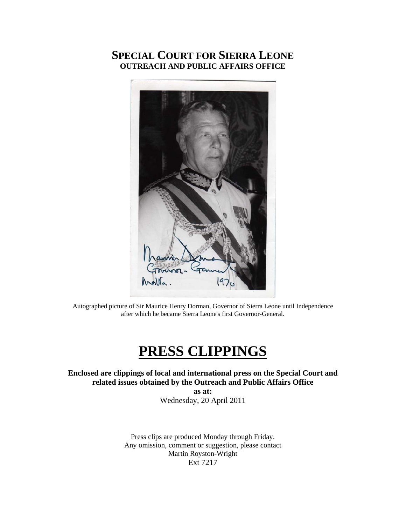## **SPECIAL COURT FOR SIERRA LEONE OUTREACH AND PUBLIC AFFAIRS OFFICE**



Autographed picture of Sir Maurice Henry Dorman, Governor of Sierra Leone until Independence after which he became Sierra Leone's first Governor-General.

# **PRESS CLIPPINGS**

**Enclosed are clippings of local and international press on the Special Court and related issues obtained by the Outreach and Public Affairs Office as at:**  Wednesday, 20 April 2011

> Press clips are produced Monday through Friday. Any omission, comment or suggestion, please contact Martin Royston-Wright Ext 7217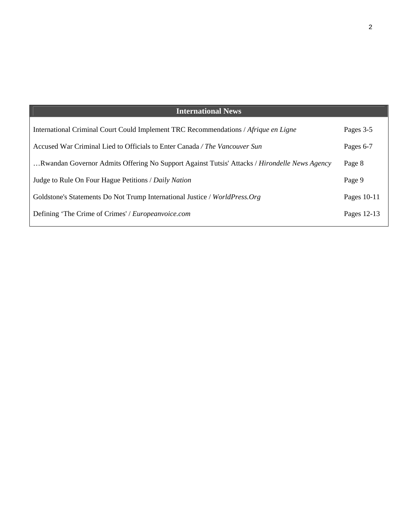| <b>International News</b>                                                                    |             |
|----------------------------------------------------------------------------------------------|-------------|
| International Criminal Court Could Implement TRC Recommendations / Afrique en Ligne          | Pages 3-5   |
| Accused War Criminal Lied to Officials to Enter Canada / The Vancouver Sun                   | Pages 6-7   |
| Rwandan Governor Admits Offering No Support Against Tutsis' Attacks / Hirondelle News Agency | Page 8      |
| Judge to Rule On Four Hague Petitions / Daily Nation                                         | Page 9      |
| Goldstone's Statements Do Not Trump International Justice / WorldPress.Org                   | Pages 10-11 |
| Defining 'The Crime of Crimes' / Europeanvoice.com                                           | Pages 12-13 |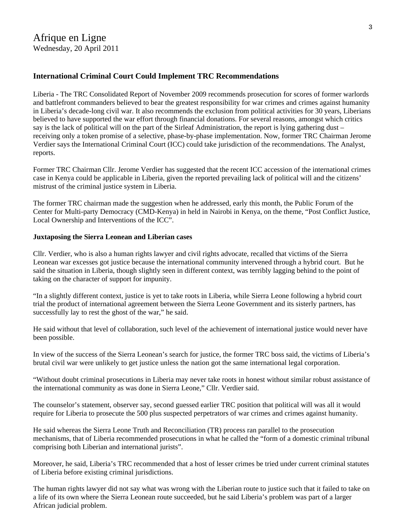#### **[International Criminal Court Could Implement TRC Recommendations](http://www.afriquejet.com/news/africa-news/international-criminal-court-could-implement-trc-recommendations-201104209420.html)**

Liberia - The TRC Consolidated Report of November 2009 recommends prosecution for scores of former warlords and battlefront commanders believed to bear the greatest responsibility for war crimes and crimes against humanity in Liberia's decade-long civil war. It also recommends the exclusion from political activities for 30 years, Liberians believed to have supported the war effort through financial donations. For several reasons, amongst which critics say is the lack of political will on the part of the Sirleaf Administration, the report is lying gathering dust – receiving only a token promise of a selective, phase-by-phase implementation. Now, former TRC Chairman Jerome Verdier says the International Criminal Court (ICC) could take jurisdiction of the recommendations. The Analyst, reports.

Former TRC Chairman Cllr. Jerome Verdier has suggested that the recent ICC accession of the international crimes case in Kenya could be applicable in Liberia, given the reported prevailing lack of political will and the citizens' mistrust of the criminal justice system in Liberia.

The former TRC chairman made the suggestion when he addressed, early this month, the Public Forum of the Center for Multi-party Democracy (CMD-Kenya) in held in Nairobi in Kenya, on the theme, "Post Conflict Justice, Local Ownership and Interventions of the ICC".

#### **Juxtaposing the Sierra Leonean and Liberian cases**

Cllr. Verdier, who is also a human rights lawyer and civil rights advocate, recalled that victims of the Sierra Leonean war excesses got justice because the international community intervened through a hybrid court. But he said the situation in Liberia, though slightly seen in different context, was terribly lagging behind to the point of taking on the character of support for impunity.

"In a slightly different context, justice is yet to take roots in Liberia, while Sierra Leone following a hybrid court trial the product of international agreement between the Sierra Leone Government and its sisterly partners, has successfully lay to rest the ghost of the war," he said.

He said without that level of collaboration, such level of the achievement of international justice would never have been possible.

In view of the success of the Sierra Leonean's search for justice, the former TRC boss said, the victims of Liberia's brutal civil war were unlikely to get justice unless the nation got the same international legal corporation.

"Without doubt criminal prosecutions in Liberia may never take roots in honest without similar robust assistance of the international community as was done in Sierra Leone," Cllr. Verdier said.

The counselor's statement, observer say, second guessed earlier TRC position that political will was all it would require for Liberia to prosecute the 500 plus suspected perpetrators of war crimes and crimes against humanity.

He said whereas the Sierra Leone Truth and Reconciliation (TR) process ran parallel to the prosecution mechanisms, that of Liberia recommended prosecutions in what he called the "form of a domestic criminal tribunal comprising both Liberian and international jurists".

Moreover, he said, Liberia's TRC recommended that a host of lesser crimes be tried under current criminal statutes of Liberia before existing criminal jurisdictions.

The human rights lawyer did not say what was wrong with the Liberian route to justice such that it failed to take on a life of its own where the Sierra Leonean route succeeded, but he said Liberia's problem was part of a larger African judicial problem.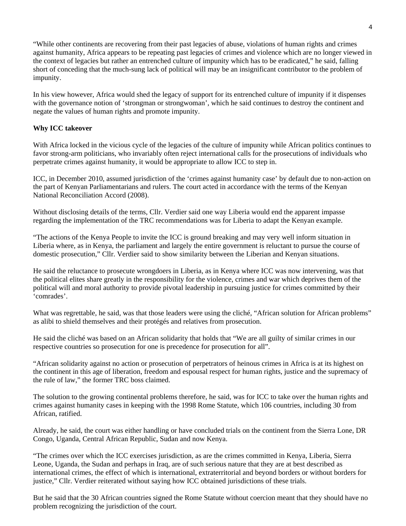"While other continents are recovering from their past legacies of abuse, violations of human rights and crimes against humanity, Africa appears to be repeating past legacies of crimes and violence which are no longer viewed in the context of legacies but rather an entrenched culture of impunity which has to be eradicated," he said, falling short of conceding that the much-sung lack of political will may be an insignificant contributor to the problem of impunity.

In his view however, Africa would shed the legacy of support for its entrenched culture of impunity if it dispenses with the governance notion of 'strongman or strongwoman', which he said continues to destroy the continent and negate the values of human rights and promote impunity.

#### **Why ICC takeover**

With Africa locked in the vicious cycle of the legacies of the culture of impunity while African politics continues to favor strong-arm politicians, who invariably often reject international calls for the prosecutions of individuals who perpetrate crimes against humanity, it would be appropriate to allow ICC to step in.

ICC, in December 2010, assumed jurisdiction of the 'crimes against humanity case' by default due to non-action on the part of Kenyan Parliamentarians and rulers. The court acted in accordance with the terms of the Kenyan National Reconciliation Accord (2008).

Without disclosing details of the terms, Cllr. Verdier said one way Liberia would end the apparent impasse regarding the implementation of the TRC recommendations was for Liberia to adapt the Kenyan example.

"The actions of the Kenya People to invite the ICC is ground breaking and may very well inform situation in Liberia where, as in Kenya, the parliament and largely the entire government is reluctant to pursue the course of domestic prosecution," Cllr. Verdier said to show similarity between the Liberian and Kenyan situations.

He said the reluctance to prosecute wrongdoers in Liberia, as in Kenya where ICC was now intervening, was that the political elites share greatly in the responsibility for the violence, crimes and war which deprives them of the political will and moral authority to provide pivotal leadership in pursuing justice for crimes committed by their 'comrades'.

What was regrettable, he said, was that those leaders were using the cliché, "African solution for African problems" as alibi to shield themselves and their protégés and relatives from prosecution.

He said the cliché was based on an African solidarity that holds that "We are all guilty of similar crimes in our respective countries so prosecution for one is precedence for prosecution for all".

"African solidarity against no action or prosecution of perpetrators of heinous crimes in Africa is at its highest on the continent in this age of liberation, freedom and espousal respect for human rights, justice and the supremacy of the rule of law," the former TRC boss claimed.

The solution to the growing continental problems therefore, he said, was for ICC to take over the human rights and crimes against humanity cases in keeping with the 1998 Rome Statute, which 106 countries, including 30 from African, ratified.

Already, he said, the court was either handling or have concluded trials on the continent from the Sierra Lone, DR Congo, Uganda, Central African Republic, Sudan and now Kenya.

"The crimes over which the ICC exercises jurisdiction, as are the crimes committed in Kenya, Liberia, Sierra Leone, Uganda, the Sudan and perhaps in Iraq, are of such serious nature that they are at best described as international crimes, the effect of which is international, extraterritorial and beyond borders or without borders for justice," Cllr. Verdier reiterated without saying how ICC obtained jurisdictions of these trials.

But he said that the 30 African countries signed the Rome Statute without coercion meant that they should have no problem recognizing the jurisdiction of the court.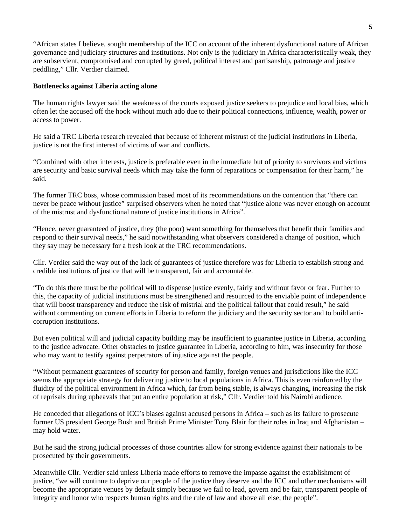"African states I believe, sought membership of the ICC on account of the inherent dysfunctional nature of African governance and judiciary structures and institutions. Not only is the judiciary in Africa characteristically weak, they are subservient, compromised and corrupted by greed, political interest and partisanship, patronage and justice peddling," Cllr. Verdier claimed.

#### **Bottlenecks against Liberia acting alone**

The human rights lawyer said the weakness of the courts exposed justice seekers to prejudice and local bias, which often let the accused off the hook without much ado due to their political connections, influence, wealth, power or access to power.

He said a TRC Liberia research revealed that because of inherent mistrust of the judicial institutions in Liberia, justice is not the first interest of victims of war and conflicts.

"Combined with other interests, justice is preferable even in the immediate but of priority to survivors and victims are security and basic survival needs which may take the form of reparations or compensation for their harm," he said.

The former TRC boss, whose commission based most of its recommendations on the contention that "there can never be peace without justice" surprised observers when he noted that "justice alone was never enough on account of the mistrust and dysfunctional nature of justice institutions in Africa".

"Hence, never guaranteed of justice, they (the poor) want something for themselves that benefit their families and respond to their survival needs," he said notwithstanding what observers considered a change of position, which they say may be necessary for a fresh look at the TRC recommendations.

Cllr. Verdier said the way out of the lack of guarantees of justice therefore was for Liberia to establish strong and credible institutions of justice that will be transparent, fair and accountable.

"To do this there must be the political will to dispense justice evenly, fairly and without favor or fear. Further to this, the capacity of judicial institutions must be strengthened and resourced to the enviable point of independence that will boost transparency and reduce the risk of mistrial and the political fallout that could result," he said without commenting on current efforts in Liberia to reform the judiciary and the security sector and to build anticorruption institutions.

But even political will and judicial capacity building may be insufficient to guarantee justice in Liberia, according to the justice advocate. Other obstacles to justice guarantee in Liberia, according to him, was insecurity for those who may want to testify against perpetrators of injustice against the people.

"Without permanent guarantees of security for person and family, foreign venues and jurisdictions like the ICC seems the appropriate strategy for delivering justice to local populations in Africa. This is even reinforced by the fluidity of the political environment in Africa which, far from being stable, is always changing, increasing the risk of reprisals during upheavals that put an entire population at risk," Cllr. Verdier told his Nairobi audience.

He conceded that allegations of ICC's biases against accused persons in Africa – such as its failure to prosecute former US president George Bush and British Prime Minister Tony Blair for their roles in Iraq and Afghanistan – may hold water.

But he said the strong judicial processes of those countries allow for strong evidence against their nationals to be prosecuted by their governments.

Meanwhile Cllr. Verdier said unless Liberia made efforts to remove the impasse against the establishment of justice, "we will continue to deprive our people of the justice they deserve and the ICC and other mechanisms will become the appropriate venues by default simply because we fail to lead, govern and be fair, transparent people of integrity and honor who respects human rights and the rule of law and above all else, the people".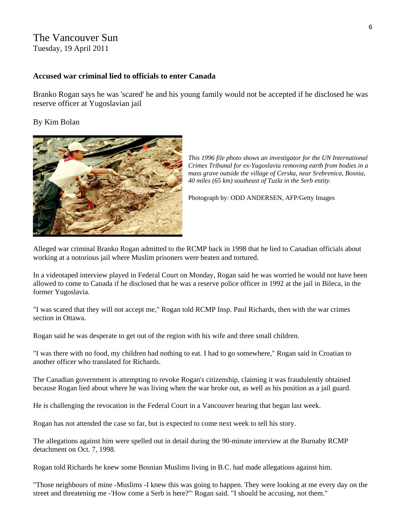## The Vancouver Sun

Tuesday, 19 April 2011

#### **Accused war criminal lied to officials to enter Canada**

Branko Rogan says he was 'scared' he and his young family would not be accepted if he disclosed he was reserve officer at Yugoslavian jail

#### By Kim Bolan



*This 1996 file photo shows an investigator for the UN International Crimes Tribunal for ex-Yugoslavia removing earth from bodies in a mass grave outside the village of Cerska, near Srebrenica, Bosnia, 40 miles (65 km) southeast of Tuzla in the Serb entity.* 

Photograph by: ODD ANDERSEN, AFP/Getty Images

Alleged war criminal Branko Rogan admitted to the RCMP back in 1998 that he lied to Canadian officials about working at a notorious jail where Muslim prisoners were beaten and tortured.

In a videotaped interview played in Federal Court on Monday, Rogan said he was worried he would not have been allowed to come to Canada if he disclosed that he was a reserve police officer in 1992 at the jail in Bileca, in the former Yugoslavia.

"I was scared that they will not accept me," Rogan told RCMP Insp. Paul Richards, then with the war crimes section in Ottawa.

Rogan said he was desperate to get out of the region with his wife and three small children.

"I was there with no food, my children had nothing to eat. I had to go somewhere," Rogan said in Croatian to another officer who translated for Richards.

The Canadian government is attempting to revoke Rogan's citizenship, claiming it was fraudulently obtained because Rogan lied about where he was living when the war broke out, as well as his position as a jail guard.

He is challenging the revocation in the Federal Court in a Vancouver hearing that began last week.

Rogan has not attended the case so far, but is expected to come next week to tell his story.

The allegations against him were spelled out in detail during the 90-minute interview at the Burnaby RCMP detachment on Oct. 7, 1998.

Rogan told Richards he knew some Bosnian Muslims living in B.C. had made allegations against him.

"Those neighbours of mine -Muslims -I knew this was going to happen. They were looking at me every day on the street and threatening me -'How come a Serb is here?'" Rogan said. "I should be accusing, not them."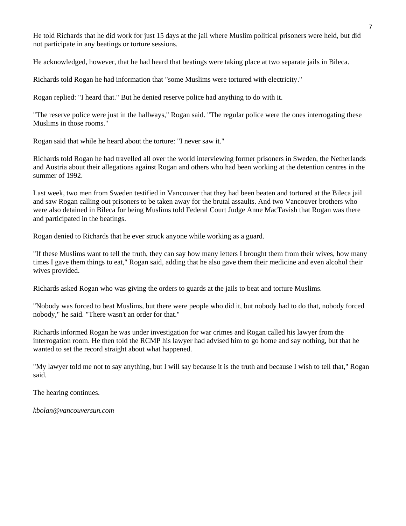He told Richards that he did work for just 15 days at the jail where Muslim political prisoners were held, but did not participate in any beatings or torture sessions.

He acknowledged, however, that he had heard that beatings were taking place at two separate jails in Bileca.

Richards told Rogan he had information that "some Muslims were tortured with electricity."

Rogan replied: "I heard that." But he denied reserve police had anything to do with it.

"The reserve police were just in the hallways," Rogan said. "The regular police were the ones interrogating these Muslims in those rooms."

Rogan said that while he heard about the torture: "I never saw it."

Richards told Rogan he had travelled all over the world interviewing former prisoners in Sweden, the Netherlands and Austria about their allegations against Rogan and others who had been working at the detention centres in the summer of 1992.

Last week, two men from Sweden testified in Vancouver that they had been beaten and tortured at the Bileca jail and saw Rogan calling out prisoners to be taken away for the brutal assaults. And two Vancouver brothers who were also detained in Bileca for being Muslims told Federal Court Judge Anne MacTavish that Rogan was there and participated in the beatings.

Rogan denied to Richards that he ever struck anyone while working as a guard.

"If these Muslims want to tell the truth, they can say how many letters I brought them from their wives, how many times I gave them things to eat," Rogan said, adding that he also gave them their medicine and even alcohol their wives provided.

Richards asked Rogan who was giving the orders to guards at the jails to beat and torture Muslims.

"Nobody was forced to beat Muslims, but there were people who did it, but nobody had to do that, nobody forced nobody," he said. "There wasn't an order for that."

Richards informed Rogan he was under investigation for war crimes and Rogan called his lawyer from the interrogation room. He then told the RCMP his lawyer had advised him to go home and say nothing, but that he wanted to set the record straight about what happened.

"My lawyer told me not to say anything, but I will say because it is the truth and because I wish to tell that," Rogan said.

The hearing continues.

*kbolan@vancouversun.com*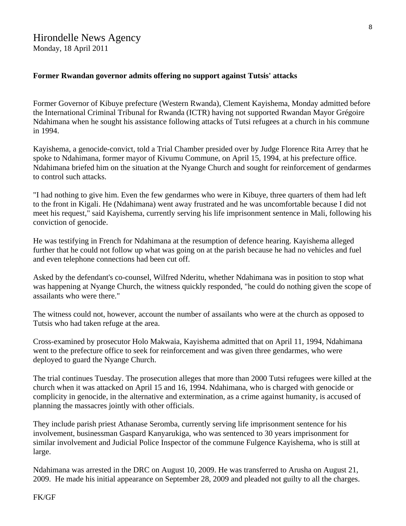#### Hirondelle News Agency Monday, 18 April 2011

#### **Former Rwandan governor admits offering no support against Tutsis' attacks**

Former Governor of Kibuye prefecture (Western Rwanda), Clement Kayishema, Monday admitted before the International Criminal Tribunal for Rwanda (ICTR) having not supported Rwandan Mayor Grégoire Ndahimana when he sought his assistance following attacks of Tutsi refugees at a church in his commune in 1994.

Kayishema, a genocide-convict, told a Trial Chamber presided over by Judge Florence Rita Arrey that he spoke to Ndahimana, former mayor of Kivumu Commune, on April 15, 1994, at his prefecture office. Ndahimana briefed him on the situation at the Nyange Church and sought for reinforcement of gendarmes to control such attacks.

"I had nothing to give him. Even the few gendarmes who were in Kibuye, three quarters of them had left to the front in Kigali. He (Ndahimana) went away frustrated and he was uncomfortable because I did not meet his request," said Kayishema, currently serving his life imprisonment sentence in Mali, following his conviction of genocide.

He was testifying in French for Ndahimana at the resumption of defence hearing. Kayishema alleged further that he could not follow up what was going on at the parish because he had no vehicles and fuel and even telephone connections had been cut off.

Asked by the defendant's co-counsel, Wilfred Nderitu, whether Ndahimana was in position to stop what was happening at Nyange Church, the witness quickly responded, "he could do nothing given the scope of assailants who were there."

The witness could not, however, account the number of assailants who were at the church as opposed to Tutsis who had taken refuge at the area.

Cross-examined by prosecutor Holo Makwaia, Kayishema admitted that on April 11, 1994, Ndahimana went to the prefecture office to seek for reinforcement and was given three gendarmes, who were deployed to guard the Nyange Church.

The trial continues Tuesday. The prosecution alleges that more than 2000 Tutsi refugees were killed at the church when it was attacked on April 15 and 16, 1994. Ndahimana, who is charged with genocide or complicity in genocide, in the alternative and extermination, as a crime against humanity, is accused of planning the massacres jointly with other officials.

They include parish priest Athanase Seromba, currently serving life imprisonment sentence for his involvement, businessman Gaspard Kanyarukiga, who was sentenced to 30 years imprisonment for similar involvement and Judicial Police Inspector of the commune Fulgence Kayishema, who is still at large.

Ndahimana was arrested in the DRC on August 10, 2009. He was transferred to Arusha on August 21, 2009. He made his initial appearance on September 28, 2009 and pleaded not guilty to all the charges.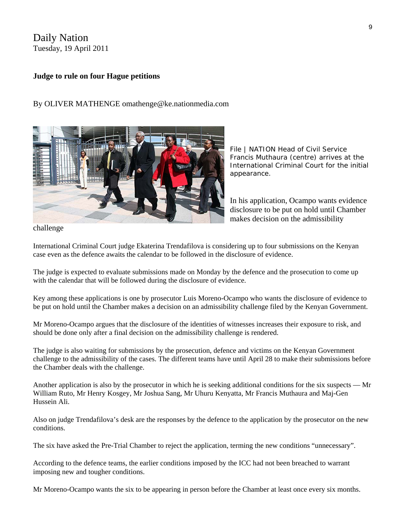## Daily Nation Tuesday, 19 April 2011

#### **Judge to rule on four Hague petitions**

#### By OLIVER MATHENGE omathenge@ke.nationmedia.com



*File | NATION Head of Civil Service Francis Muthaura (centre) arrives at the International Criminal Court for the initial appearance.* 

In his application, Ocampo wants evidence disclosure to be put on hold until Chamber makes decision on the admissibility

challenge

International Criminal Court judge Ekaterina Trendafilova is considering up to four submissions on the Kenyan case even as the defence awaits the calendar to be followed in the disclosure of evidence.

The judge is expected to evaluate submissions made on Monday by the defence and the prosecution to come up with the calendar that will be followed during the disclosure of evidence.

Key among these applications is one by prosecutor Luis Moreno-Ocampo who wants the disclosure of evidence to be put on hold until the Chamber makes a decision on an admissibility challenge filed by the Kenyan Government.

Mr Moreno-Ocampo argues that the disclosure of the identities of witnesses increases their exposure to risk, and should be done only after a final decision on the admissibility challenge is rendered.

The judge is also waiting for submissions by the prosecution, defence and victims on the Kenyan Government challenge to the admissibility of the cases. The different teams have until April 28 to make their submissions before the Chamber deals with the challenge.

Another application is also by the prosecutor in which he is seeking additional conditions for the six suspects — Mr William Ruto, Mr Henry Kosgey, Mr Joshua Sang, Mr Uhuru Kenyatta, Mr Francis Muthaura and Maj-Gen Hussein Ali.

Also on judge Trendafilova's desk are the responses by the defence to the application by the prosecutor on the new conditions.

The six have asked the Pre-Trial Chamber to reject the application, terming the new conditions "unnecessary".

According to the defence teams, the earlier conditions imposed by the ICC had not been breached to warrant imposing new and tougher conditions.

Mr Moreno-Ocampo wants the six to be appearing in person before the Chamber at least once every six months.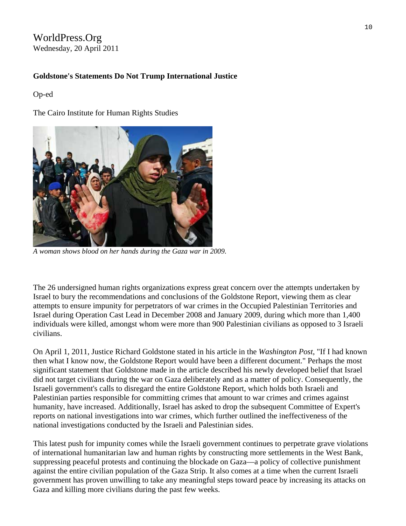## WorldPress.Org Wednesday, 20 April 2011

#### **Goldstone's Statements Do Not Trump International Justice**

#### Op-ed

The Cairo Institute for Human Rights Studies



*A woman shows blood on her hands during the Gaza war in 2009.* 

The 26 undersigned human rights organizations express great concern over the attempts undertaken by Israel to bury the recommendations and conclusions of the Goldstone Report, viewing them as clear attempts to ensure impunity for perpetrators of war crimes in the Occupied Palestinian Territories and Israel during Operation Cast Lead in December 2008 and January 2009, during which more than 1,400 individuals were killed, amongst whom were more than 900 Palestinian civilians as opposed to 3 Israeli civilians.

On April 1, 2011, Justice Richard Goldstone stated in his article in the *Washington Post*, "If I had known then what I know now, the Goldstone Report would have been a different document." Perhaps the most significant statement that Goldstone made in the article described his newly developed belief that Israel did not target civilians during the war on Gaza deliberately and as a matter of policy. Consequently, the Israeli government's calls to disregard the entire Goldstone Report, which holds both Israeli and Palestinian parties responsible for committing crimes that amount to war crimes and crimes against humanity, have increased. Additionally, Israel has asked to drop the subsequent Committee of Expert's reports on national investigations into war crimes, which further outlined the ineffectiveness of the national investigations conducted by the Israeli and Palestinian sides.

This latest push for impunity comes while the Israeli government continues to perpetrate grave violations of international humanitarian law and human rights by constructing more settlements in the West Bank, suppressing peaceful protests and continuing the blockade on Gaza—a policy of collective punishment against the entire civilian population of the Gaza Strip. It also comes at a time when the current Israeli government has proven unwilling to take any meaningful steps toward peace by increasing its attacks on Gaza and killing more civilians during the past few weeks.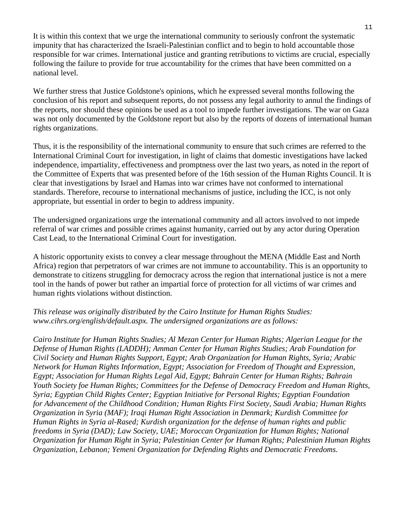It is within this context that we urge the international community to seriously confront the systematic impunity that has characterized the Israeli-Palestinian conflict and to begin to hold accountable those responsible for war crimes. International justice and granting retributions to victims are crucial, especially following the failure to provide for true accountability for the crimes that have been committed on a national level.

We further stress that Justice Goldstone's opinions, which he expressed several months following the conclusion of his report and subsequent reports, do not possess any legal authority to annul the findings of the reports, nor should these opinions be used as a tool to impede further investigations. The war on Gaza was not only documented by the Goldstone report but also by the reports of dozens of international human rights organizations.

Thus, it is the responsibility of the international community to ensure that such crimes are referred to the International Criminal Court for investigation, in light of claims that domestic investigations have lacked independence, impartiality, effectiveness and promptness over the last two years, as noted in the report of the Committee of Experts that was presented before of the 16th session of the Human Rights Council. It is clear that investigations by Israel and Hamas into war crimes have not conformed to international standards. Therefore, recourse to international mechanisms of justice, including the ICC, is not only appropriate, but essential in order to begin to address impunity.

The undersigned organizations urge the international community and all actors involved to not impede referral of war crimes and possible crimes against humanity, carried out by any actor during Operation Cast Lead, to the International Criminal Court for investigation.

A historic opportunity exists to convey a clear message throughout the MENA (Middle East and North Africa) region that perpetrators of war crimes are not immune to accountability. This is an opportunity to demonstrate to citizens struggling for democracy across the region that international justice is not a mere tool in the hands of power but rather an impartial force of protection for all victims of war crimes and human rights violations without distinction.

*This release was originally distributed by the Cairo Institute for Human Rights Studies: www.cihrs.org/english/default.aspx. The undersigned organizations are as follows:*

*Cairo Institute for Human Rights Studies; Al Mezan Center for Human Rights; Algerian League for the Defense of Human Rights (LADDH); Amman Center for Human Rights Studies; Arab Foundation for Civil Society and Human Rights Support, Egypt; Arab Organization for Human Rights, Syria; Arabic Network for Human Rights Information, Egypt; Association for Freedom of Thought and Expression, Egypt; Association for Human Rights Legal Aid, Egypt; Bahrain Center for Human Rights; Bahrain Youth Society foe Human Rights; Committees for the Defense of Democracy Freedom and Human Rights, Syria; Egyptian Child Rights Center; Egyptian Initiative for Personal Rights; Egyptian Foundation for Advancement of the Childhood Condition; Human Rights First Society, Saudi Arabia; Human Rights Organization in Syria (MAF); Iraqi Human Right Association in Denmark; Kurdish Committee for Human Rights in Syria al-Rased; Kurdish organization for the defense of human rights and public freedoms in Syria (DAD); Law Society, UAE; Moroccan Organization for Human Rights; National Organization for Human Right in Syria; Palestinian Center for Human Rights; Palestinian Human Rights Organization, Lebanon; Yemeni Organization for Defending Rights and Democratic Freedoms.*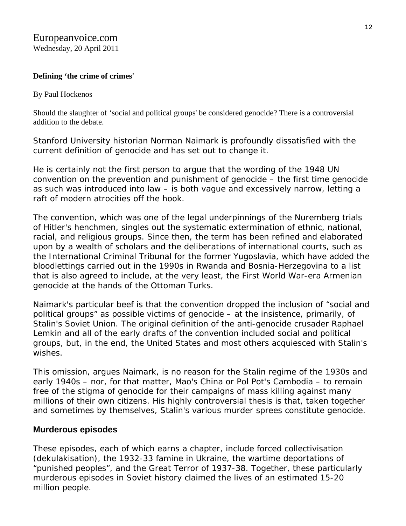### **Defining 'the crime of crimes'**

#### By Paul Hockenos

Should the slaughter of 'social and political groups' be considered genocide? There is a controversial addition to the debate.

Stanford University historian Norman Naimark is profoundly dissatisfied with the current definition of genocide and has set out to change it.

He is certainly not the first person to argue that the wording of the 1948 UN convention on the prevention and punishment of genocide – the first time genocide as such was introduced into law – is both vague and excessively narrow, letting a raft of modern atrocities off the hook.

The convention, which was one of the legal underpinnings of the Nuremberg trials of Hitler's henchmen, singles out the systematic extermination of ethnic, national, racial, and religious groups. Since then, the term has been refined and elaborated upon by a wealth of scholars and the deliberations of international courts, such as the International Criminal Tribunal for the former Yugoslavia, which have added the bloodlettings carried out in the 1990s in Rwanda and Bosnia-Herzegovina to a list that is also agreed to include, at the very least, the First World War-era Armenian genocide at the hands of the Ottoman Turks.

Naimark's particular beef is that the convention dropped the inclusion of "social and political groups" as possible victims of genocide – at the insistence, primarily, of Stalin's Soviet Union. The original definition of the anti-genocide crusader Raphael Lemkin and all of the early drafts of the convention included social and political groups, but, in the end, the United States and most others acquiesced with Stalin's wishes.

This omission, argues Naimark, is no reason for the Stalin regime of the 1930s and early 1940s – nor, for that matter, Mao's China or Pol Pot's Cambodia – to remain free of the stigma of genocide for their campaigns of mass killing against many millions of their own citizens. His highly controversial thesis is that, taken together and sometimes by themselves, Stalin's various murder sprees constitute genocide.

## **Murderous episodes**

These episodes, each of which earns a chapter, include forced collectivisation (dekulakisation), the 1932-33 famine in Ukraine, the wartime deportations of "punished peoples", and the Great Terror of 1937-38. Together, these particularly murderous episodes in Soviet history claimed the lives of an estimated 15-20 million people.